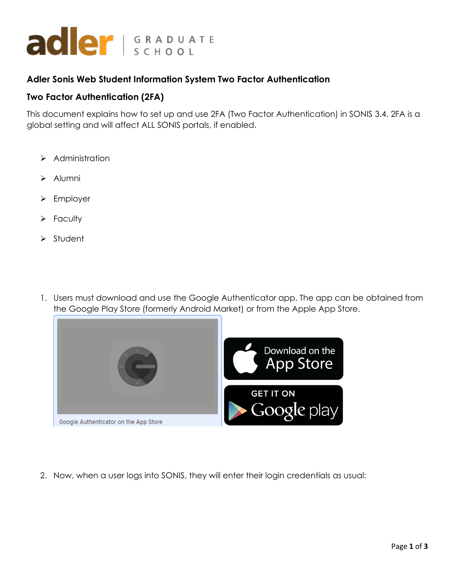

## **Adler Sonis Web Student Information System Two Factor Authentication**

## **Two Factor Authentication (2FA)**

This document explains how to set up and use 2FA (Two Factor Authentication) in SONIS 3.4. 2FA is a global setting and will affect ALL SONIS portals, if enabled.

- ➢ Administration
- ➢ Alumni
- ➢ Employer
- ➢ Faculty
- ➢ Student
- 1. Users must download and use the Google Authenticator app. The app can be obtained from the Google Play Store (formerly Android Market) or from the Apple App Store.



2. Now, when a user logs into SONIS, they will enter their login credentials as usual: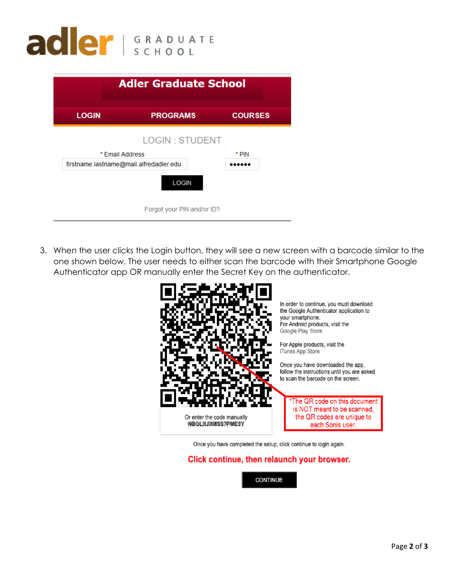

|                                         | <b>Adler Graduate School</b> |                |
|-----------------------------------------|------------------------------|----------------|
| <b>LOGIN</b>                            | <b>PROGRAMS</b>              | <b>COURSES</b> |
|                                         | <b>LOGIN: STUDENT</b>        |                |
| * Email Address                         |                              | * PIN          |
| firstname.lastname@mail.alfredadler.edu |                              |                |
|                                         | <b>LOGIN</b>                 |                |
|                                         | Forgot your PIN and/or ID?   |                |

3. When the user clicks the Login button, they will see a new screen with a barcode similar to the one shown below. The user needs to either scan the barcode with their Smartphone Google Authenticator app OR manually enter the Secret Key on the authenticator.



Once you have completed the setup, click continue to login again.

## Click continue, then relaunch your browser.

**CONTINUE**